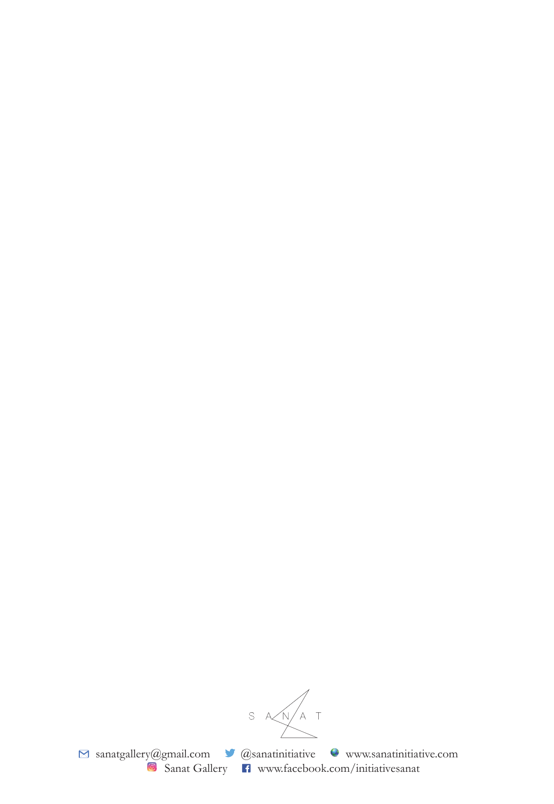SANAT

sanatgallery@gmail.com **@** @sanatinitiative www.sanatinitiative.com **B** Sanat Gallery **F** www.facebook.com/initiativesanat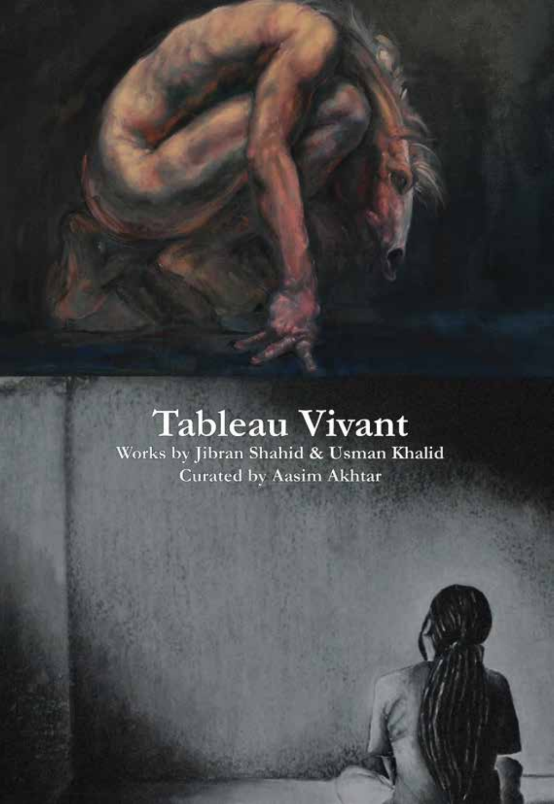## Tableau Vivant

Works by Jibran Shahid & Usman Khalid Curated by Aasim Akhtar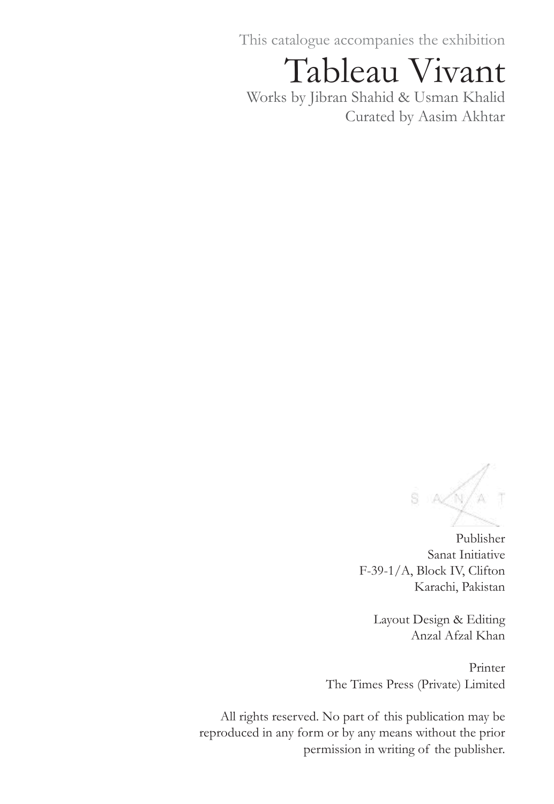This catalogue accompanies the exhibition

Tableau Vivant

Works by Jibran Shahid & Usman Khalid Curated by Aasim Akhtar

 $S$   $A/N/A$ 

Publisher Sanat Initiative F-39-1/A, Block IV, Clifton Karachi, Pakistan

Layout Design & Editing Anzal Afzal Khan

Printer The Times Press (Private) Limited

All rights reserved. No part of this publication may be reproduced in any form or by any means without the prior permission in writing of the publisher.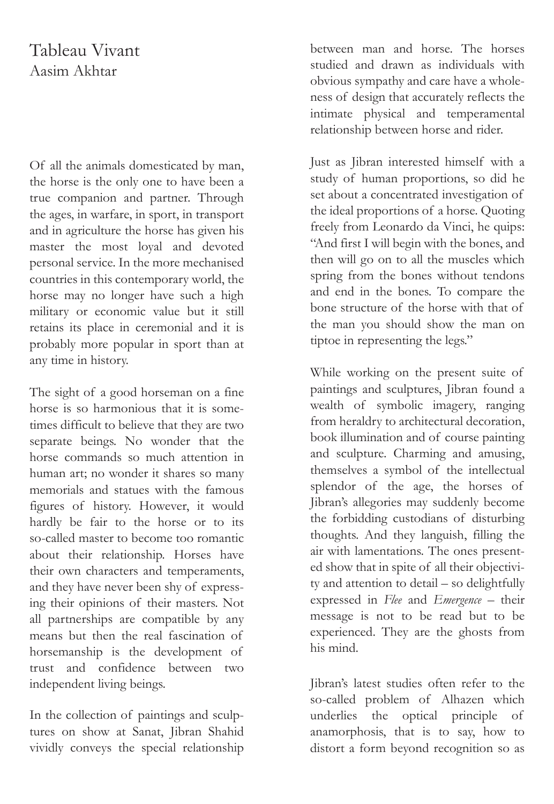## Tableau Vivant Aasim Akhtar

Of all the animals domesticated by man, the horse is the only one to have been a true companion and partner. Through the ages, in warfare, in sport, in transport and in agriculture the horse has given his master the most loyal and devoted personal service. In the more mechanised countries in this contemporary world, the horse may no longer have such a high military or economic value but it still retains its place in ceremonial and it is probably more popular in sport than at any time in history.

The sight of a good horseman on a fine horse is so harmonious that it is sometimes difficult to believe that they are two separate beings. No wonder that the horse commands so much attention in human art; no wonder it shares so many memorials and statues with the famous figures of history. However, it would hardly be fair to the horse or to its so-called master to become too romantic about their relationship. Horses have their own characters and temperaments, and they have never been shy of expressing their opinions of their masters. Not all partnerships are compatible by any means but then the real fascination of horsemanship is the development of trust and confidence between two independent living beings.

In the collection of paintings and sculptures on show at Sanat, Jibran Shahid vividly conveys the special relationship

between man and horse. The horses studied and drawn as individuals with obvious sympathy and care have a wholeness of design that accurately reflects the intimate physical and temperamental relationship between horse and rider.

Just as Jibran interested himself with a study of human proportions, so did he set about a concentrated investigation of the ideal proportions of a horse. Quoting freely from Leonardo da Vinci, he quips: "And first I will begin with the bones, and then will go on to all the muscles which spring from the bones without tendons and end in the bones. To compare the bone structure of the horse with that of the man you should show the man on tiptoe in representing the legs."

While working on the present suite of paintings and sculptures, Jibran found a wealth of symbolic imagery, ranging from heraldry to architectural decoration, book illumination and of course painting and sculpture. Charming and amusing, themselves a symbol of the intellectual splendor of the age, the horses of Jibran's allegories may suddenly become the forbidding custodians of disturbing thoughts. And they languish, filling the air with lamentations. The ones presented show that in spite of all their objectivity and attention to detail – so delightfully expressed in *Flee* and *Emergence* – their message is not to be read but to be experienced. They are the ghosts from his mind.

Jibran's latest studies often refer to the so-called problem of Alhazen which underlies the optical principle of anamorphosis, that is to say, how to distort a form beyond recognition so as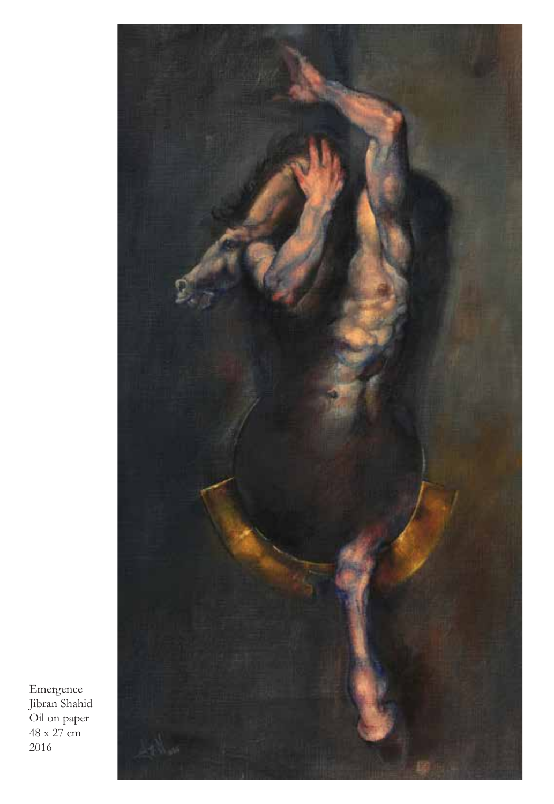

Emergence Jibran Shahid Oil on paper 48 x 27 cm 2016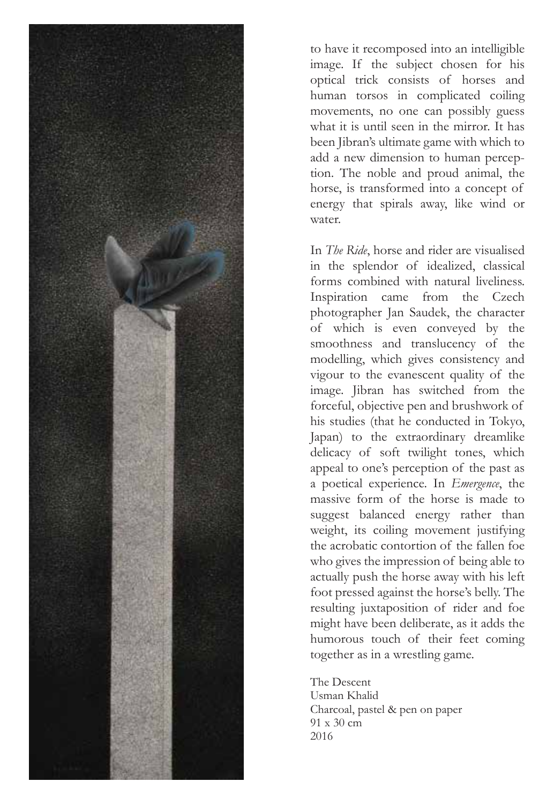

to have it recomposed into an intelligible image. If the subject chosen for his optical trick consists of horses and human torsos in complicated coiling movements, no one can possibly guess what it is until seen in the mirror. It has been Jibran's ultimate game with which to add a new dimension to human perception. The noble and proud animal, the horse, is transformed into a concept of energy that spirals away, like wind or water.

In *The Ride*, horse and rider are visualised in the splendor of idealized, classical forms combined with natural liveliness. Inspiration came from the Czech photographer Jan Saudek, the character of which is even conveyed by the smoothness and translucency of the modelling, which gives consistency and vigour to the evanescent quality of the image. Jibran has switched from the forceful, objective pen and brushwork of his studies (that he conducted in Tokyo, Japan) to the extraordinary dreamlike delicacy of soft twilight tones, which appeal to one's perception of the past as a poetical experience. In *Emergence*, the massive form of the horse is made to suggest balanced energy rather than weight, its coiling movement justifying the acrobatic contortion of the fallen foe who gives the impression of being able to actually push the horse away with his left foot pressed against the horse's belly. The resulting juxtaposition of rider and foe might have been deliberate, as it adds the humorous touch of their feet coming together as in a wrestling game.

The Descent Usman Khalid Charcoal, pastel & pen on paper 91 x 30 cm 2016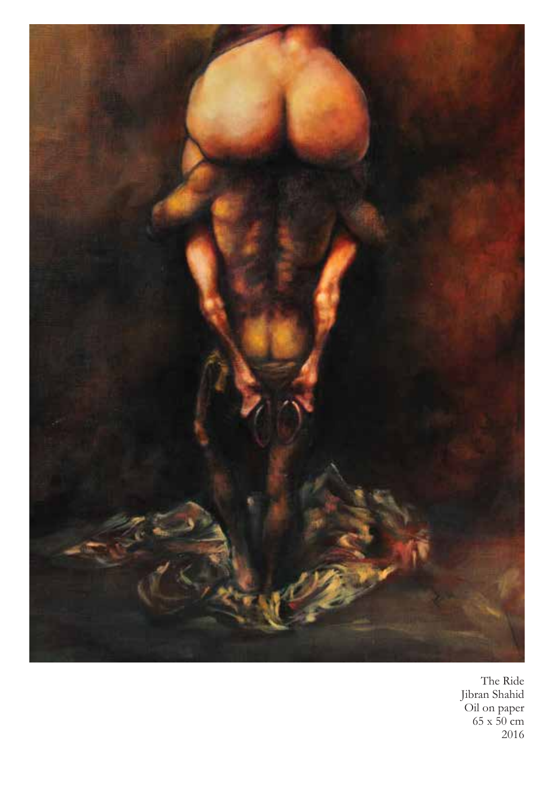

The Ride Jibran Shahid Oil on paper 65 x 50 cm 2016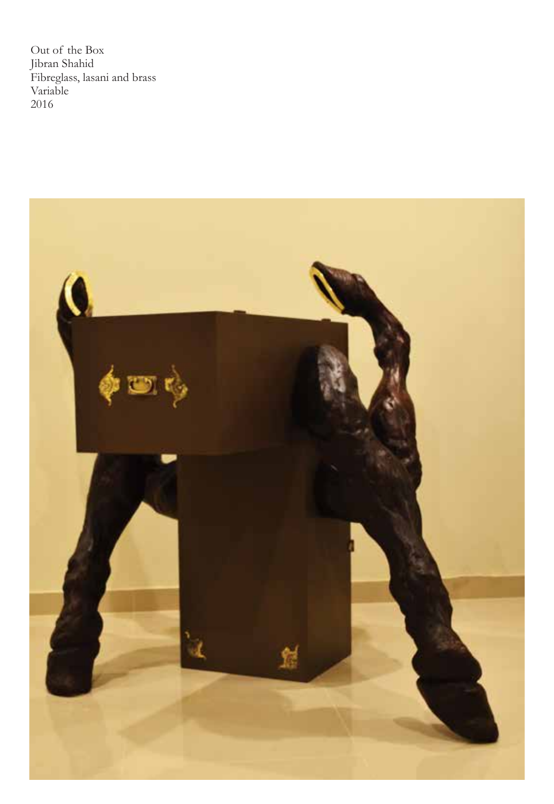Out of the Box Jibran Shahid Fibreglass, lasani and brass Variable 2016

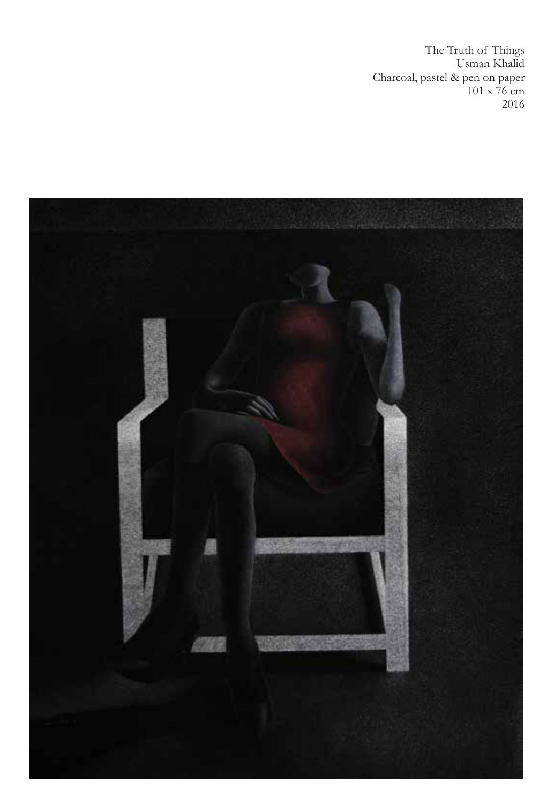The Truth of Things Usman Khalid Charcoal, pastel & pen on paper 101 x 76 cm 2016

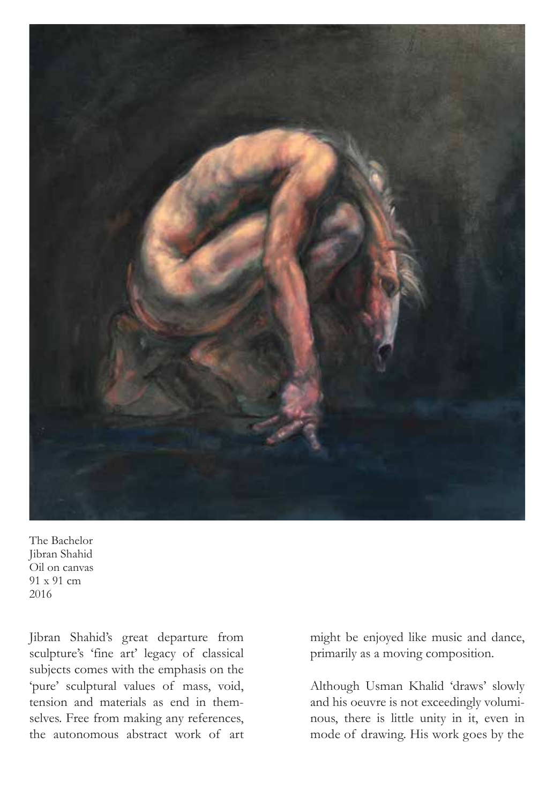

The Bachelor Jibran Shahid Oil on canvas 91 x 91 cm 2016

Jibran Shahid's great departure from sculpture's 'fine art' legacy of classical subjects comes with the emphasis on the 'pure' sculptural values of mass, void, tension and materials as end in themselves. Free from making any references, the autonomous abstract work of art might be enjoyed like music and dance, primarily as a moving composition.

Although Usman Khalid 'draws' slowly and his oeuvre is not exceedingly voluminous, there is little unity in it, even in mode of drawing. His work goes by the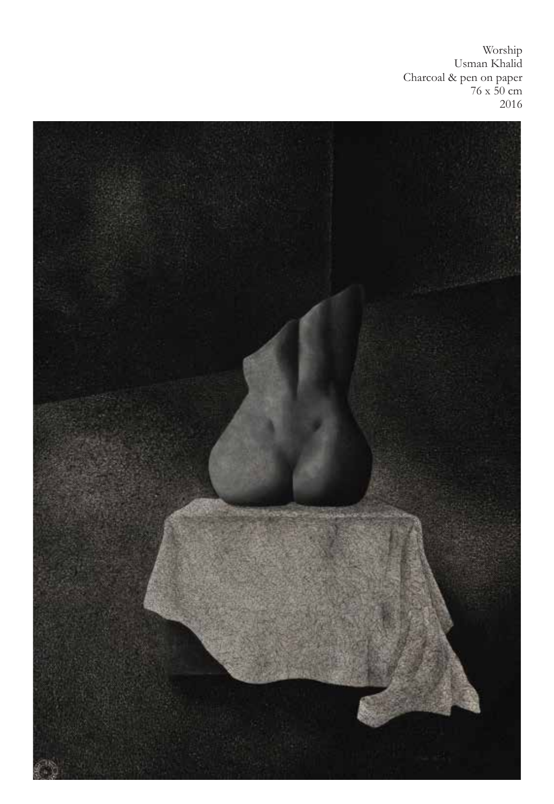Worship Usman Khalid Charcoal & pen on paper 76 x 50 cm 2016

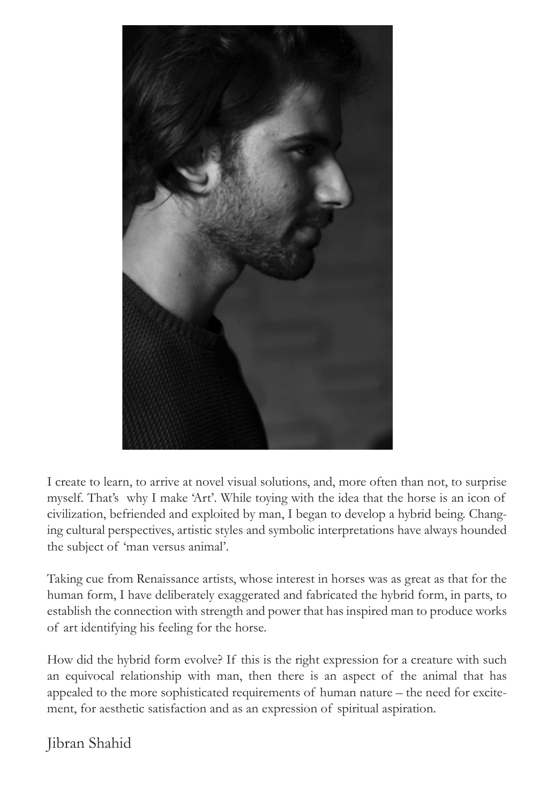

I create to learn, to arrive at novel visual solutions, and, more often than not, to surprise myself. That's why I make 'Art'. While toying with the idea that the horse is an icon of civilization, befriended and exploited by man, I began to develop a hybrid being. Changing cultural perspectives, artistic styles and symbolic interpretations have always hounded the subject of 'man versus animal'.

Taking cue from Renaissance artists, whose interest in horses was as great as that for the human form, I have deliberately exaggerated and fabricated the hybrid form, in parts, to establish the connection with strength and power that has inspired man to produce works of art identifying his feeling for the horse.

How did the hybrid form evolve? If this is the right expression for a creature with such an equivocal relationship with man, then there is an aspect of the animal that has appealed to the more sophisticated requirements of human nature – the need for excitement, for aesthetic satisfaction and as an expression of spiritual aspiration.

Jibran Shahid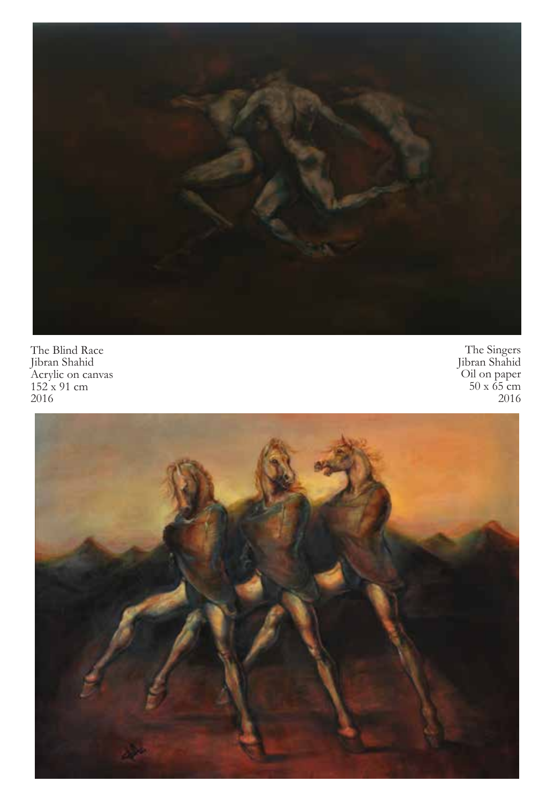

The Blind Race Jibran Shahid Acrylic on canvas 152 x 91 cm 2016

The Singers Jibran Shahid Oil on paper 50 x 65 cm 2016

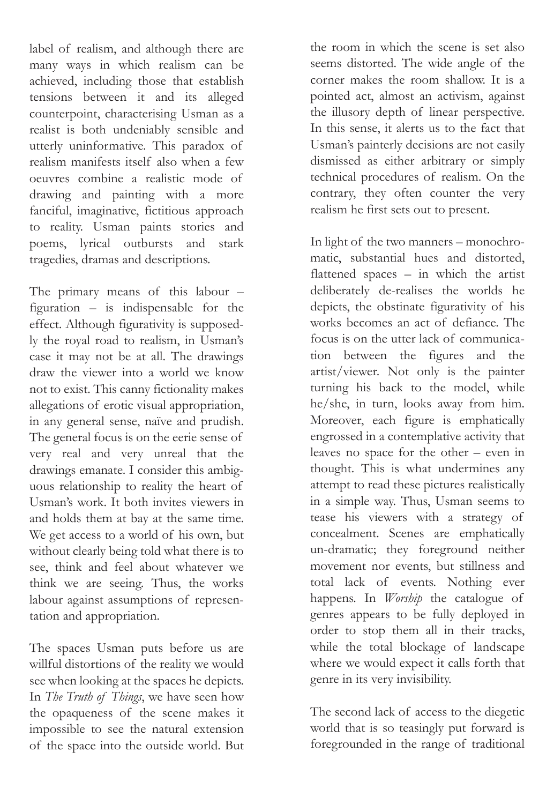label of realism, and although there are many ways in which realism can be achieved, including those that establish tensions between it and its alleged counterpoint, characterising Usman as a realist is both undeniably sensible and utterly uninformative. This paradox of realism manifests itself also when a few oeuvres combine a realistic mode of drawing and painting with a more fanciful, imaginative, fictitious approach to reality. Usman paints stories and poems, lyrical outbursts and stark tragedies, dramas and descriptions.

The primary means of this labour – figuration – is indispensable for the effect. Although figurativity is supposedly the royal road to realism, in Usman's case it may not be at all. The drawings draw the viewer into a world we know not to exist. This canny fictionality makes allegations of erotic visual appropriation, in any general sense, naïve and prudish. The general focus is on the eerie sense of very real and very unreal that the drawings emanate. I consider this ambiguous relationship to reality the heart of Usman's work. It both invites viewers in and holds them at bay at the same time. We get access to a world of his own, but without clearly being told what there is to see, think and feel about whatever we think we are seeing. Thus, the works labour against assumptions of representation and appropriation.

The spaces Usman puts before us are willful distortions of the reality we would see when looking at the spaces he depicts. In *The Truth of Things*, we have seen how the opaqueness of the scene makes it impossible to see the natural extension of the space into the outside world. But

the room in which the scene is set also seems distorted. The wide angle of the corner makes the room shallow. It is a pointed act, almost an activism, against the illusory depth of linear perspective. In this sense, it alerts us to the fact that Usman's painterly decisions are not easily dismissed as either arbitrary or simply technical procedures of realism. On the contrary, they often counter the very realism he first sets out to present.

In light of the two manners – monochromatic, substantial hues and distorted, flattened spaces – in which the artist deliberately de-realises the worlds he depicts, the obstinate figurativity of his works becomes an act of defiance. The focus is on the utter lack of communication between the figures and the artist/viewer. Not only is the painter turning his back to the model, while he/she, in turn, looks away from him. Moreover, each figure is emphatically engrossed in a contemplative activity that leaves no space for the other – even in thought. This is what undermines any attempt to read these pictures realistically in a simple way. Thus, Usman seems to tease his viewers with a strategy of concealment. Scenes are emphatically un-dramatic; they foreground neither movement nor events, but stillness and total lack of events. Nothing ever happens. In *Worship* the catalogue of genres appears to be fully deployed in order to stop them all in their tracks, while the total blockage of landscape where we would expect it calls forth that genre in its very invisibility.

The second lack of access to the diegetic world that is so teasingly put forward is foregrounded in the range of traditional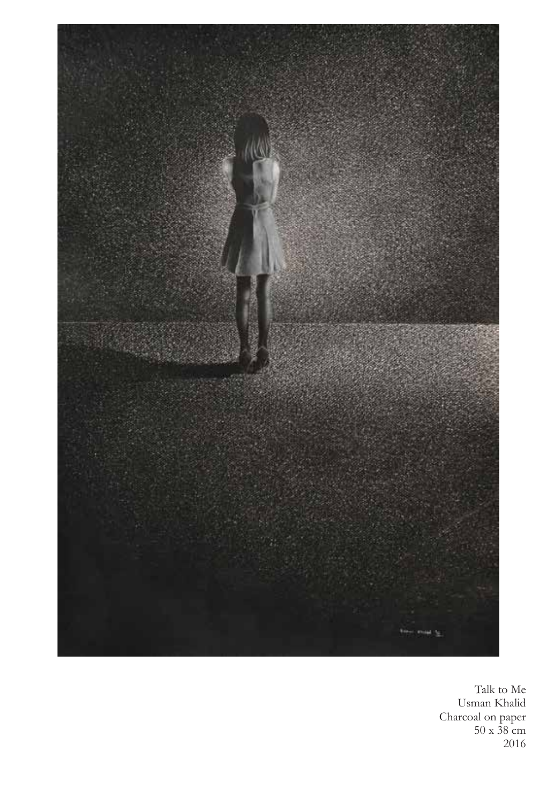

Talk to Me Usman Khalid Charcoal on paper 50 x 38 cm 2016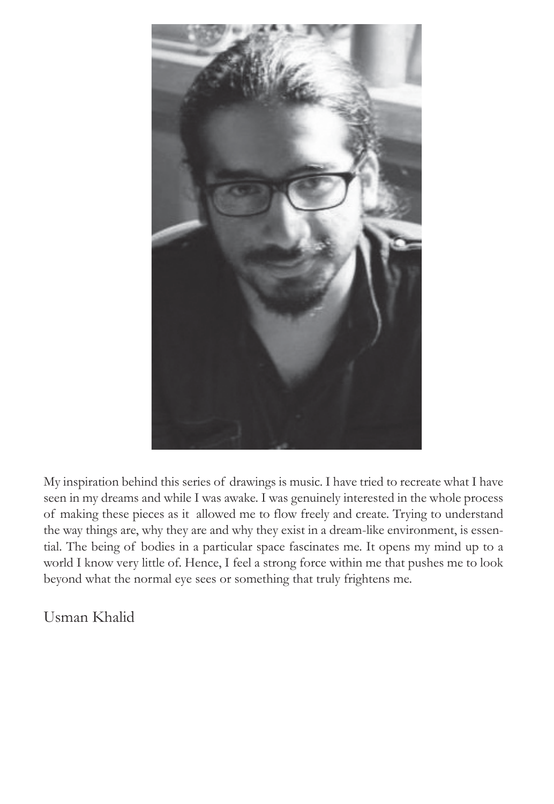

My inspiration behind this series of drawings is music. I have tried to recreate what I have seen in my dreams and while I was awake. I was genuinely interested in the whole process of making these pieces as it allowed me to flow freely and create. Trying to understand the way things are, why they are and why they exist in a dream-like environment, is essential. The being of bodies in a particular space fascinates me. It opens my mind up to a world I know very little of. Hence, I feel a strong force within me that pushes me to look beyond what the normal eye sees or something that truly frightens me.

Usman Khalid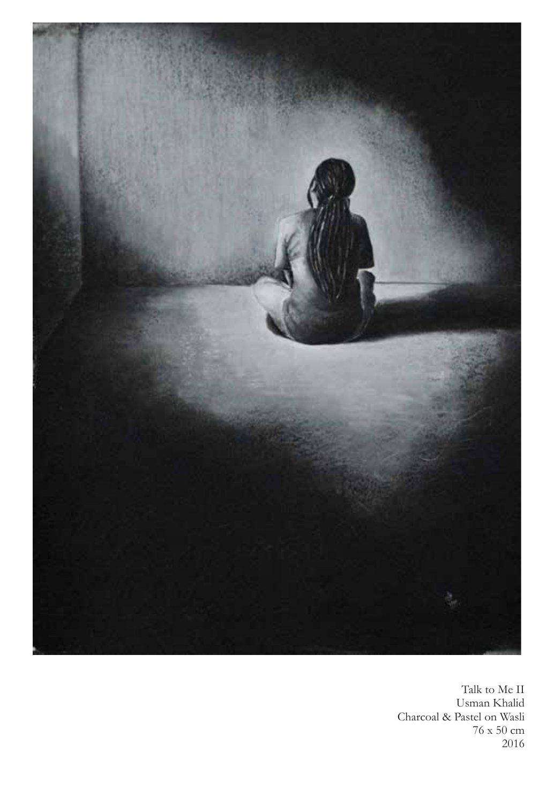

Talk to Me II Usman Khalid Charcoal & Pastel on Wasli 76 x 50 cm 2016